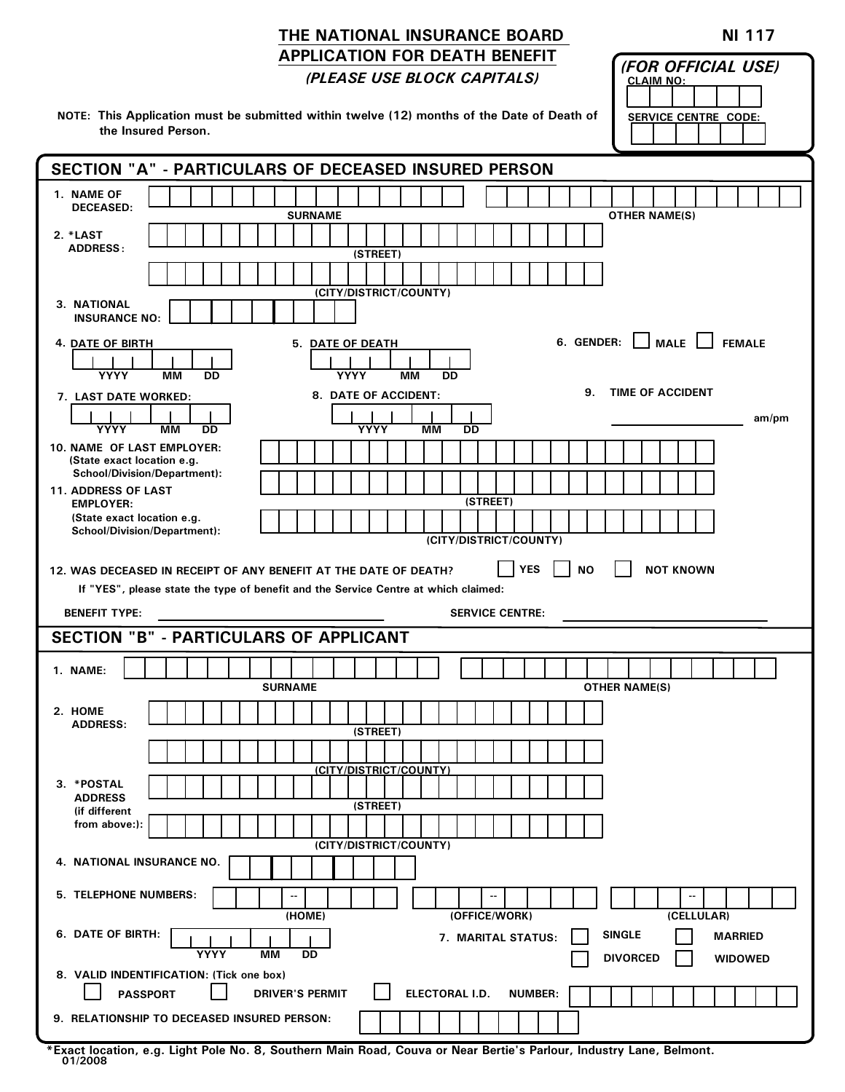## THE NATIONAL INSURANCE BOARD APPLICATION FOR DEATH BENEFIT (PLEASE USE BLOCK CAPITALS)

NI 117

(FOR OFFICIAL USE)

|                                                                   | <u>IPLEASE USE BLUCK CAPITALS)</u><br><b>CLAIM NO:</b>                                                                             |
|-------------------------------------------------------------------|------------------------------------------------------------------------------------------------------------------------------------|
| the Insured Person.                                               | NOTE: This Application must be submitted within twelve (12) months of the Date of Death of<br><b>SERVICE CENTRE CODE:</b>          |
|                                                                   | SECTION "A" - PARTICULARS OF DECEASED INSURED PERSON                                                                               |
| 1. NAME OF<br><b>DECEASED:</b>                                    | <b>SURNAME</b><br><b>OTHER NAME(S)</b>                                                                                             |
| 2. *LAST<br><b>ADDRESS:</b>                                       | (STREET)                                                                                                                           |
| 3. NATIONAL                                                       | (CITY/DISTRICT/COUNTY)                                                                                                             |
| <b>INSURANCE NO:</b>                                              |                                                                                                                                    |
| <b>4. DATE OF BIRTH</b><br><b>YYYY</b><br>MМ<br>DD                | 6. GENDER: MALE FEMALE<br><b>5. DATE OF DEATH</b><br><b>YYYY</b><br><b>MM</b><br>DD                                                |
| 7. LAST DATE WORKED:                                              | 9. TIME OF ACCIDENT<br>8. DATE OF ACCIDENT:                                                                                        |
| <b>YYYY</b><br>MМ<br>DD                                           | am/pm<br><b>YYYY</b><br><b>MM</b><br>DD                                                                                            |
| <b>10. NAME OF LAST EMPLOYER:</b><br>(State exact location e.g.   |                                                                                                                                    |
| <b>School/Division/Department):</b><br><b>11. ADDRESS OF LAST</b> |                                                                                                                                    |
| <b>EMPLOYER:</b><br>(State exact location e.g.                    | (STREET)                                                                                                                           |
| School/Division/Department):                                      | (CITY/DISTRICT/COUNTY)                                                                                                             |
| 12. WAS DECEASED IN RECEIPT OF ANY BENEFIT AT THE DATE OF DEATH?  | <b>YES</b><br><b>NOT KNOWN</b><br><b>NO</b><br>If "YES", please state the type of benefit and the Service Centre at which claimed: |
| <b>BENEFIT TYPE:</b>                                              | <b>SERVICE CENTRE:</b>                                                                                                             |
| <b>SECTION "B" - PARTICULARS OF APPLICANT</b>                     |                                                                                                                                    |
| 1. NAME:                                                          | <b>SURNAME</b><br><b>OTHER NAME(S)</b>                                                                                             |
| 2. HOME                                                           |                                                                                                                                    |
| <b>ADDRESS:</b>                                                   | (STREET)                                                                                                                           |
|                                                                   | (CITY/DISTRICT/COUNTY)                                                                                                             |
| 3. *POSTAL                                                        |                                                                                                                                    |
|                                                                   |                                                                                                                                    |
| <b>ADDRESS</b><br>(if different                                   | (STREET)                                                                                                                           |
| from above:):                                                     | (CITY/DISTRICT/COUNTY)                                                                                                             |
| 4. NATIONAL INSURANCE NO.                                         |                                                                                                                                    |
| 5. TELEPHONE NUMBERS:                                             | $-$<br>$-$<br>(HOME)<br>(OFFICE/WORK)<br>(CELLULAR)                                                                                |
| 6. DATE OF BIRTH:<br>YYYY                                         | <b>SINGLE</b><br><b>MARRIED</b><br>7. MARITAL STATUS:<br>MМ<br><b>DD</b><br><b>DIVORCED</b><br><b>WIDOWED</b>                      |
| 8. VALID INDENTIFICATION: (Tick one box)<br><b>PASSPORT</b>       | ELECTORAL I.D.<br><b>NUMBER:</b><br><b>DRIVER'S PERMIT</b>                                                                         |

\*Exact location, e.g. Light Pole No. 8, Southern Main Road, Couva or Near Bertie's Parlour, Industry Lane, Belmont. 01/2008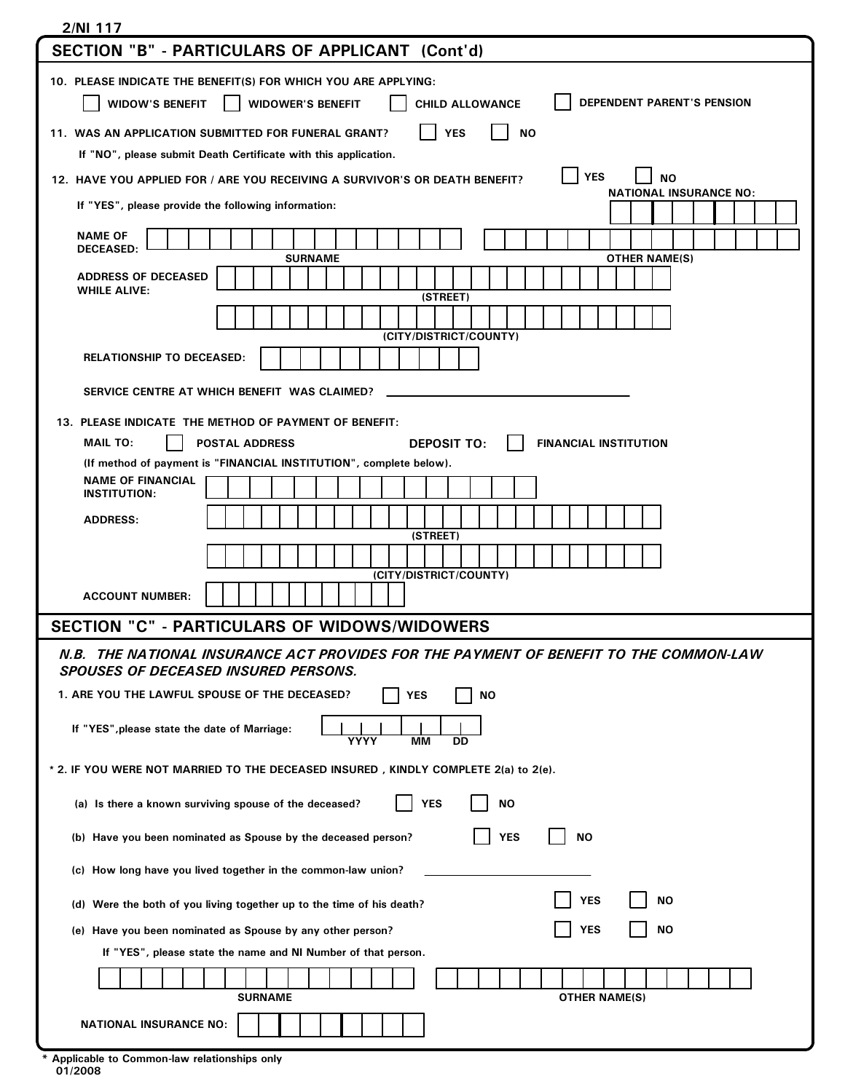| 2/NI 117                                                                                                                                                                            |  |  |
|-------------------------------------------------------------------------------------------------------------------------------------------------------------------------------------|--|--|
| SECTION "B" - PARTICULARS OF APPLICANT (Cont'd)                                                                                                                                     |  |  |
| 10. PLEASE INDICATE THE BENEFIT(S) FOR WHICH YOU ARE APPLYING:<br><b>DEPENDENT PARENT'S PENSION</b><br><b>WIDOW'S BENEFIT</b><br><b>WIDOWER'S BENEFIT</b><br><b>CHILD ALLOWANCE</b> |  |  |
| <b>YES</b><br>ΝO<br>11. WAS AN APPLICATION SUBMITTED FOR FUNERAL GRANT?                                                                                                             |  |  |
| If "NO", please submit Death Certificate with this application.                                                                                                                     |  |  |
| <b>YES</b><br><b>NO</b><br>12. HAVE YOU APPLIED FOR / ARE YOU RECEIVING A SURVIVOR'S OR DEATH BENEFIT?<br><b>NATIONAL INSURANCE NO:</b>                                             |  |  |
| If "YES", please provide the following information:                                                                                                                                 |  |  |
| <b>NAME OF</b><br><b>DECEASED:</b><br><b>OTHER NAME(S)</b><br><b>SURNAME</b>                                                                                                        |  |  |
| <b>ADDRESS OF DECEASED</b><br><b>WHILE ALIVE:</b><br>(STREET)                                                                                                                       |  |  |
|                                                                                                                                                                                     |  |  |
| (CITY/DISTRICT/COUNTY)<br><b>RELATIONSHIP TO DECEASED:</b>                                                                                                                          |  |  |
|                                                                                                                                                                                     |  |  |
| SERVICE CENTRE AT WHICH BENEFIT WAS CLAIMED?                                                                                                                                        |  |  |
| 13. PLEASE INDICATE THE METHOD OF PAYMENT OF BENEFIT:<br><b>MAIL TO:</b><br><b>DEPOSIT TO:</b><br><b>FINANCIAL INSTITUTION</b><br><b>POSTAL ADDRESS</b>                             |  |  |
| (If method of payment is "FINANCIAL INSTITUTION", complete below).                                                                                                                  |  |  |
| <b>NAME OF FINANCIAL</b><br><b>INSTITUTION:</b>                                                                                                                                     |  |  |
| <b>ADDRESS:</b>                                                                                                                                                                     |  |  |
| (STREET)                                                                                                                                                                            |  |  |
| (CITY/DISTRICT/COUNTY)                                                                                                                                                              |  |  |
| <b>ACCOUNT NUMBER:</b>                                                                                                                                                              |  |  |
| <b>SECTION "C" - PARTICULARS OF WIDOWS/WIDOWERS</b>                                                                                                                                 |  |  |
| N.B. THE NATIONAL INSURANCE ACT PROVIDES FOR THE PAYMENT OF BENEFIT TO THE COMMON-LAW<br><b>SPOUSES OF DECEASED INSURED PERSONS.</b>                                                |  |  |
| 1. ARE YOU THE LAWFUL SPOUSE OF THE DECEASED?<br><b>YES</b><br><b>NO</b>                                                                                                            |  |  |
| If "YES", please state the date of Marriage:<br>YYYY<br>MМ<br>DD                                                                                                                    |  |  |
| * 2. IF YOU WERE NOT MARRIED TO THE DECEASED INSURED, KINDLY COMPLETE 2(a) to 2(e).                                                                                                 |  |  |
| <b>YES</b><br><b>NO</b><br>(a) Is there a known surviving spouse of the deceased?                                                                                                   |  |  |
| (b) Have you been nominated as Spouse by the deceased person?<br><b>YES</b><br><b>NO</b>                                                                                            |  |  |
| (c) How long have you lived together in the common-law union?                                                                                                                       |  |  |
| <b>YES</b><br>ΝO<br>(d) Were the both of you living together up to the time of his death?                                                                                           |  |  |
| <b>YES</b><br><b>NO</b><br>(e) Have you been nominated as Spouse by any other person?                                                                                               |  |  |
| If "YES", please state the name and NI Number of that person.                                                                                                                       |  |  |
| <b>SURNAME</b><br><b>OTHER NAME(S)</b>                                                                                                                                              |  |  |
| <b>NATIONAL INSURANCE NO:</b>                                                                                                                                                       |  |  |

01/2008 \* Applicable to Common-law relationships only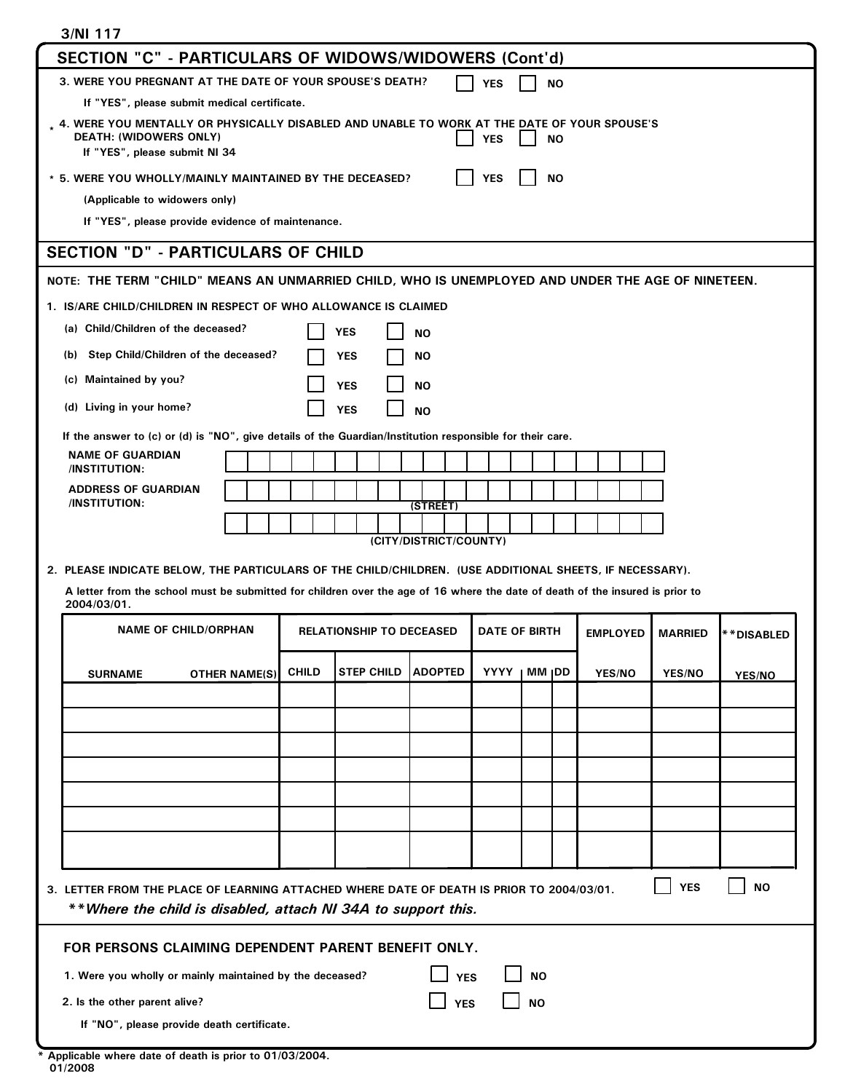| 3/NI 117                                                                                                                                                                                   |  |  |  |  |  |
|--------------------------------------------------------------------------------------------------------------------------------------------------------------------------------------------|--|--|--|--|--|
| SECTION "C" - PARTICULARS OF WIDOWS/WIDOWERS (Cont'd)                                                                                                                                      |  |  |  |  |  |
| 3. WERE YOU PREGNANT AT THE DATE OF YOUR SPOUSE'S DEATH?<br><b>NO</b><br><b>YES</b>                                                                                                        |  |  |  |  |  |
| If "YES", please submit medical certificate.                                                                                                                                               |  |  |  |  |  |
| . 4. WERE YOU MENTALLY OR PHYSICALLY DISABLED AND UNABLE TO WORK AT THE DATE OF YOUR SPOUSE'S<br><b>DEATH: (WIDOWERS ONLY)</b><br><b>NO</b><br><b>YES</b><br>If "YES", please submit NI 34 |  |  |  |  |  |
| * 5. WERE YOU WHOLLY/MAINLY MAINTAINED BY THE DECEASED?<br><b>NO</b><br><b>YES</b>                                                                                                         |  |  |  |  |  |
| (Applicable to widowers only)                                                                                                                                                              |  |  |  |  |  |
| If "YES", please provide evidence of maintenance.                                                                                                                                          |  |  |  |  |  |
| <b>SECTION "D" - PARTICULARS OF CHILD</b>                                                                                                                                                  |  |  |  |  |  |
| NOTE: THE TERM "CHILD" MEANS AN UNMARRIED CHILD, WHO IS UNEMPLOYED AND UNDER THE AGE OF NINETEEN.                                                                                          |  |  |  |  |  |
| 1. IS/ARE CHILD/CHILDREN IN RESPECT OF WHO ALLOWANCE IS CLAIMED                                                                                                                            |  |  |  |  |  |
| (a) Child/Children of the deceased?<br><b>YES</b><br><b>NO</b>                                                                                                                             |  |  |  |  |  |
| Step Child/Children of the deceased?<br>(b)<br><b>YES</b><br><b>NO</b>                                                                                                                     |  |  |  |  |  |
| (c) Maintained by you?<br><b>YES</b><br><b>NO</b>                                                                                                                                          |  |  |  |  |  |
| (d) Living in your home?<br><b>YES</b><br><b>NO</b>                                                                                                                                        |  |  |  |  |  |
|                                                                                                                                                                                            |  |  |  |  |  |
| If the answer to (c) or (d) is "NO", give details of the Guardian/Institution responsible for their care.<br><b>NAME OF GUARDIAN</b>                                                       |  |  |  |  |  |
| <b>/INSTITUTION:</b>                                                                                                                                                                       |  |  |  |  |  |
| <b>ADDRESS OF GUARDIAN</b><br>/INSTITUTION:<br>(STREET)                                                                                                                                    |  |  |  |  |  |
|                                                                                                                                                                                            |  |  |  |  |  |
| (CITY/DISTRICT/COUNTY)                                                                                                                                                                     |  |  |  |  |  |
| 2. PLEASE INDICATE BELOW, THE PARTICULARS OF THE CHILD/CHILDREN. (USE ADDITIONAL SHEETS, IF NECESSARY).                                                                                    |  |  |  |  |  |
| A letter from the school must be submitted for children over the age of 16 where the date of death of the insured is prior to<br>2004/03/01.                                               |  |  |  |  |  |
| <b>NAME OF CHILD/ORPHAN</b><br><b>RELATIONSHIP TO DECEASED</b><br><b>DATE OF BIRTH</b><br><b>MARRIED</b><br><b>EMPLOYED</b><br>**DISABLED                                                  |  |  |  |  |  |
|                                                                                                                                                                                            |  |  |  |  |  |
| <b>YYYY</b><br><b>CHILD</b><br><b>ADOPTED</b><br>MM <sub>I</sub> DD<br><b>STEP CHILD</b><br><b>YES/NO</b><br><b>YES/NO</b><br><b>SURNAME</b><br><b>OTHER NAME(S)</b><br>YES/NO             |  |  |  |  |  |
|                                                                                                                                                                                            |  |  |  |  |  |
|                                                                                                                                                                                            |  |  |  |  |  |
|                                                                                                                                                                                            |  |  |  |  |  |
|                                                                                                                                                                                            |  |  |  |  |  |
|                                                                                                                                                                                            |  |  |  |  |  |
|                                                                                                                                                                                            |  |  |  |  |  |
|                                                                                                                                                                                            |  |  |  |  |  |
|                                                                                                                                                                                            |  |  |  |  |  |
|                                                                                                                                                                                            |  |  |  |  |  |
| <b>YES</b><br><b>NO</b><br>3. LETTER FROM THE PLACE OF LEARNING ATTACHED WHERE DATE OF DEATH IS PRIOR TO 2004/03/01.                                                                       |  |  |  |  |  |
| **Where the child is disabled, attach NI 34A to support this.                                                                                                                              |  |  |  |  |  |
| FOR PERSONS CLAIMING DEPENDENT PARENT BENEFIT ONLY.                                                                                                                                        |  |  |  |  |  |
| 1. Were you wholly or mainly maintained by the deceased?<br><b>NO</b><br><b>YES</b>                                                                                                        |  |  |  |  |  |
| 2. Is the other parent alive?<br><b>NO</b><br><b>YES</b>                                                                                                                                   |  |  |  |  |  |
| If "NO", please provide death certificate.                                                                                                                                                 |  |  |  |  |  |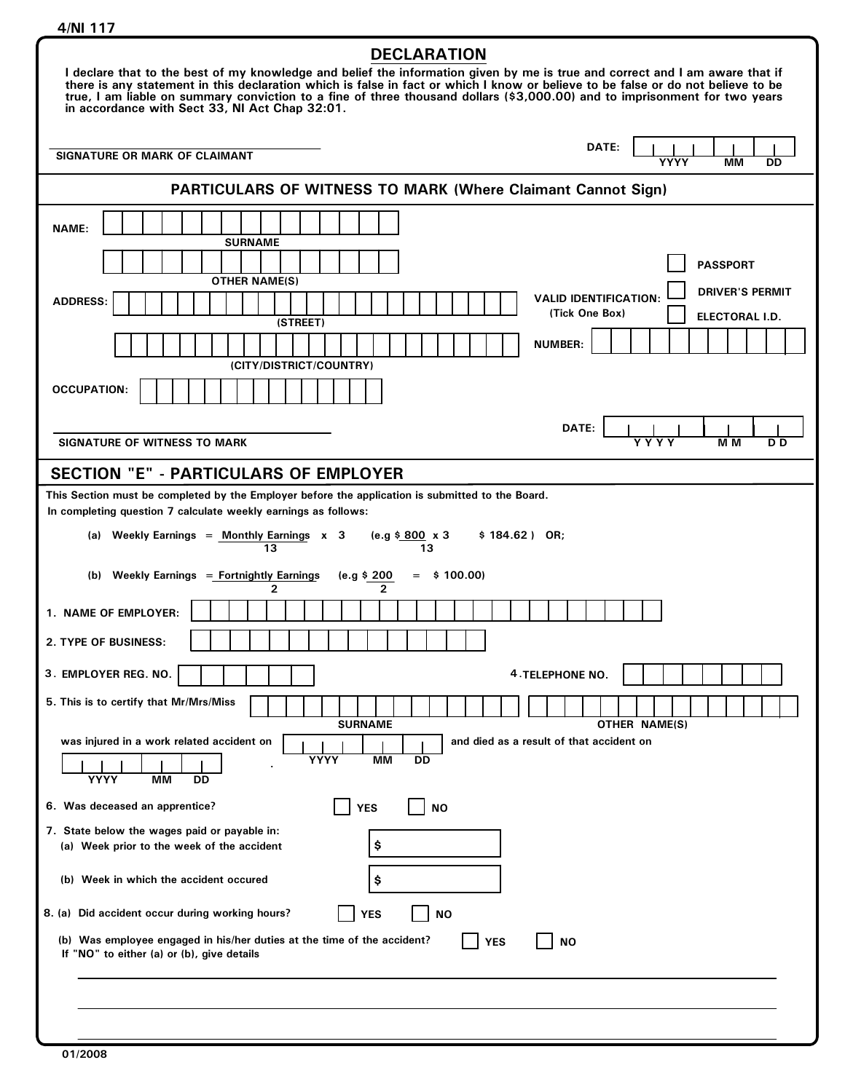| <b>DECLARATION</b><br>I declare that to the best of my knowledge and belief the information given by me is true and correct and I am aware that if<br>there is any statement in this declaration which is false in fact or which I know or believe to be false or do not believe to be<br>true, I am liable on summary conviction to a fine of three thousand dollars (\$3,000.00) and to imprisonment for two years<br>in accordance with Sect 33, NI Act Chap 32:01. |  |  |  |
|------------------------------------------------------------------------------------------------------------------------------------------------------------------------------------------------------------------------------------------------------------------------------------------------------------------------------------------------------------------------------------------------------------------------------------------------------------------------|--|--|--|
| DATE:<br>SIGNATURE OR MARK OF CLAIMANT<br><b>YYYY</b><br>MМ<br><b>DD</b>                                                                                                                                                                                                                                                                                                                                                                                               |  |  |  |
| <b>PARTICULARS OF WITNESS TO MARK (Where Claimant Cannot Sign)</b>                                                                                                                                                                                                                                                                                                                                                                                                     |  |  |  |
| <b>NAME:</b><br><b>SURNAME</b><br><b>PASSPORT</b><br><b>OTHER NAME(S)</b><br><b>DRIVER'S PERMIT</b><br><b>VALID IDENTIFICATION:</b><br><b>ADDRESS:</b><br>(Tick One Box)<br>ELECTORAL I.D.<br>(STREET)<br><b>NUMBER:</b><br>(CITY/DISTRICT/COUNTRY)<br><b>OCCUPATION:</b>                                                                                                                                                                                              |  |  |  |
| DATE:<br><b>SIGNATURE OF WITNESS TO MARK</b><br>M M<br>Y Y Y Y<br>D D                                                                                                                                                                                                                                                                                                                                                                                                  |  |  |  |
| <b>SECTION "E" - PARTICULARS OF EMPLOYER</b>                                                                                                                                                                                                                                                                                                                                                                                                                           |  |  |  |
| This Section must be completed by the Employer before the application is submitted to the Board.<br>In completing question 7 calculate weekly earnings as follows:<br>(e.g \$800 x 3<br>(a) Weekly Earnings = Monthly Earnings $x = 3$<br>$$184.62)$ OR;<br>13<br>13<br>(b) Weekly Earnings = Fortnightly Earnings<br>$=$ \$100.00)<br>(e.g \$ 200<br>2<br>2<br>1. NAME OF EMPLOYER:<br><b>2. TYPE OF BUSINESS:</b>                                                    |  |  |  |
| 3. EMPLOYER REG. NO.<br><b>4. TELEPHONE NO.</b><br>5. This is to certify that Mr/Mrs/Miss<br><b>SURNAME</b>                                                                                                                                                                                                                                                                                                                                                            |  |  |  |
| OTHER NAME(S)<br>was injured in a work related accident on<br>and died as a result of that accident on<br>YYYY<br>ΜМ<br>DD<br><b>YYYY</b><br><b>MM</b><br>DD                                                                                                                                                                                                                                                                                                           |  |  |  |
| 6. Was deceased an apprentice?<br><b>YES</b><br><b>NO</b>                                                                                                                                                                                                                                                                                                                                                                                                              |  |  |  |
| 7. State below the wages paid or payable in:<br>\$<br>(a) Week prior to the week of the accident                                                                                                                                                                                                                                                                                                                                                                       |  |  |  |
| (b) Week in which the accident occured<br>\$                                                                                                                                                                                                                                                                                                                                                                                                                           |  |  |  |
| 8. (a) Did accident occur during working hours?<br><b>YES</b><br><b>NO</b><br>(b) Was employee engaged in his/her duties at the time of the accident?<br><b>YES</b><br><b>NO</b><br>If "NO" to either (a) or (b), give details                                                                                                                                                                                                                                         |  |  |  |
|                                                                                                                                                                                                                                                                                                                                                                                                                                                                        |  |  |  |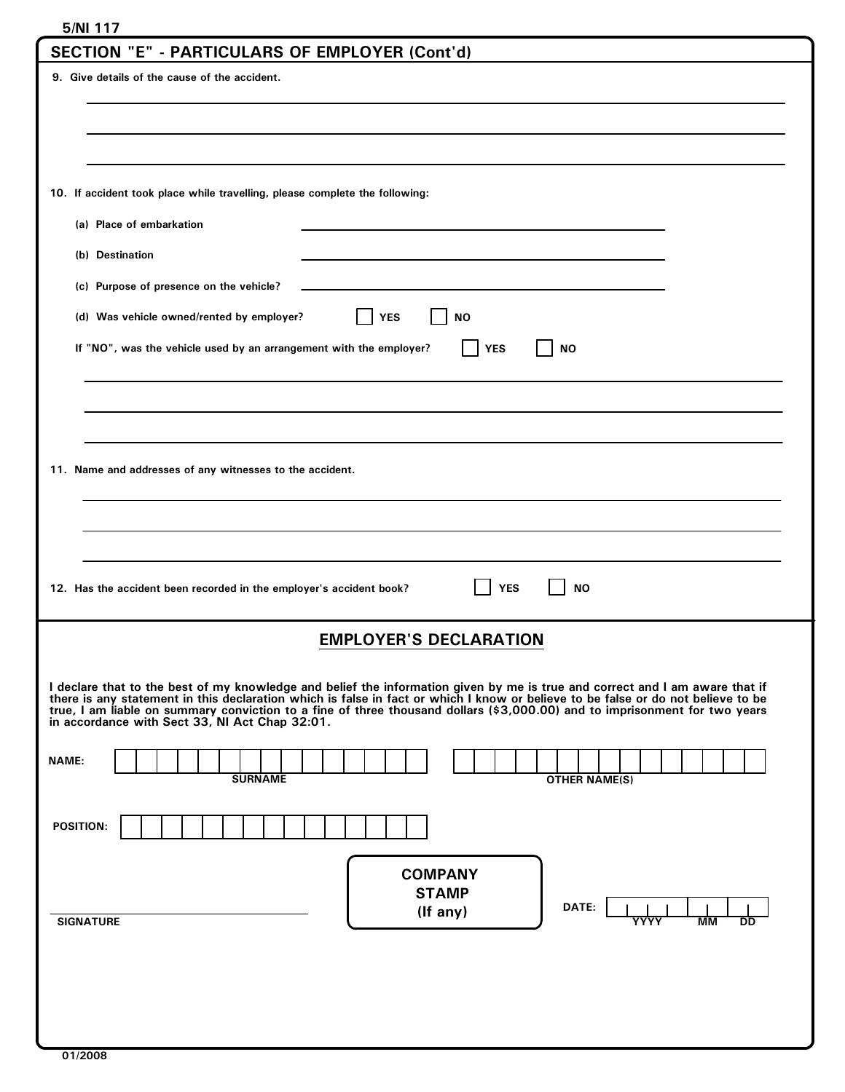| 5/NI 117                                                                                                                                                                                                                                                         |  |  |  |
|------------------------------------------------------------------------------------------------------------------------------------------------------------------------------------------------------------------------------------------------------------------|--|--|--|
| SECTION "E" - PARTICULARS OF EMPLOYER (Cont'd)                                                                                                                                                                                                                   |  |  |  |
| 9. Give details of the cause of the accident.                                                                                                                                                                                                                    |  |  |  |
|                                                                                                                                                                                                                                                                  |  |  |  |
|                                                                                                                                                                                                                                                                  |  |  |  |
|                                                                                                                                                                                                                                                                  |  |  |  |
|                                                                                                                                                                                                                                                                  |  |  |  |
| 10. If accident took place while travelling, please complete the following:                                                                                                                                                                                      |  |  |  |
| (a) Place of embarkation                                                                                                                                                                                                                                         |  |  |  |
| (b) Destination                                                                                                                                                                                                                                                  |  |  |  |
| (c) Purpose of presence on the vehicle?                                                                                                                                                                                                                          |  |  |  |
|                                                                                                                                                                                                                                                                  |  |  |  |
| (d) Was vehicle owned/rented by employer?<br><b>YES</b><br><b>NO</b>                                                                                                                                                                                             |  |  |  |
| If "NO", was the vehicle used by an arrangement with the employer?<br><b>YES</b><br><b>NO</b>                                                                                                                                                                    |  |  |  |
|                                                                                                                                                                                                                                                                  |  |  |  |
|                                                                                                                                                                                                                                                                  |  |  |  |
|                                                                                                                                                                                                                                                                  |  |  |  |
|                                                                                                                                                                                                                                                                  |  |  |  |
| 11. Name and addresses of any witnesses to the accident.                                                                                                                                                                                                         |  |  |  |
|                                                                                                                                                                                                                                                                  |  |  |  |
|                                                                                                                                                                                                                                                                  |  |  |  |
|                                                                                                                                                                                                                                                                  |  |  |  |
|                                                                                                                                                                                                                                                                  |  |  |  |
| <b>YES</b><br><b>NO</b><br>12. Has the accident been recorded in the employer's accident book?                                                                                                                                                                   |  |  |  |
|                                                                                                                                                                                                                                                                  |  |  |  |
| <b>EMPLOYER'S DECLARATION</b>                                                                                                                                                                                                                                    |  |  |  |
|                                                                                                                                                                                                                                                                  |  |  |  |
| I declare that to the best of my knowledge and belief the information given by me is true and correct and I am aware that if<br>there is any statement in this declaration which is false in fact or which I know or believe to be false or do not believe to be |  |  |  |
| true, I am liable on summary conviction to a fine of three thousand dollars (\$3,000.00) and to imprisonment for two years<br>in accordance with Sect 33, NI Act Chap 32:01.                                                                                     |  |  |  |
|                                                                                                                                                                                                                                                                  |  |  |  |
| <b>NAME:</b><br><b>SURNAME</b><br><b>OTHER NAME(S)</b>                                                                                                                                                                                                           |  |  |  |
|                                                                                                                                                                                                                                                                  |  |  |  |
| <b>POSITION:</b>                                                                                                                                                                                                                                                 |  |  |  |
|                                                                                                                                                                                                                                                                  |  |  |  |
| <b>COMPANY</b>                                                                                                                                                                                                                                                   |  |  |  |
| <b>STAMP</b>                                                                                                                                                                                                                                                     |  |  |  |
| DATE:<br>(If any)<br><b>SIGNATURE</b><br><b>MM</b><br>YYYY<br>DD                                                                                                                                                                                                 |  |  |  |
|                                                                                                                                                                                                                                                                  |  |  |  |
|                                                                                                                                                                                                                                                                  |  |  |  |
|                                                                                                                                                                                                                                                                  |  |  |  |
|                                                                                                                                                                                                                                                                  |  |  |  |
|                                                                                                                                                                                                                                                                  |  |  |  |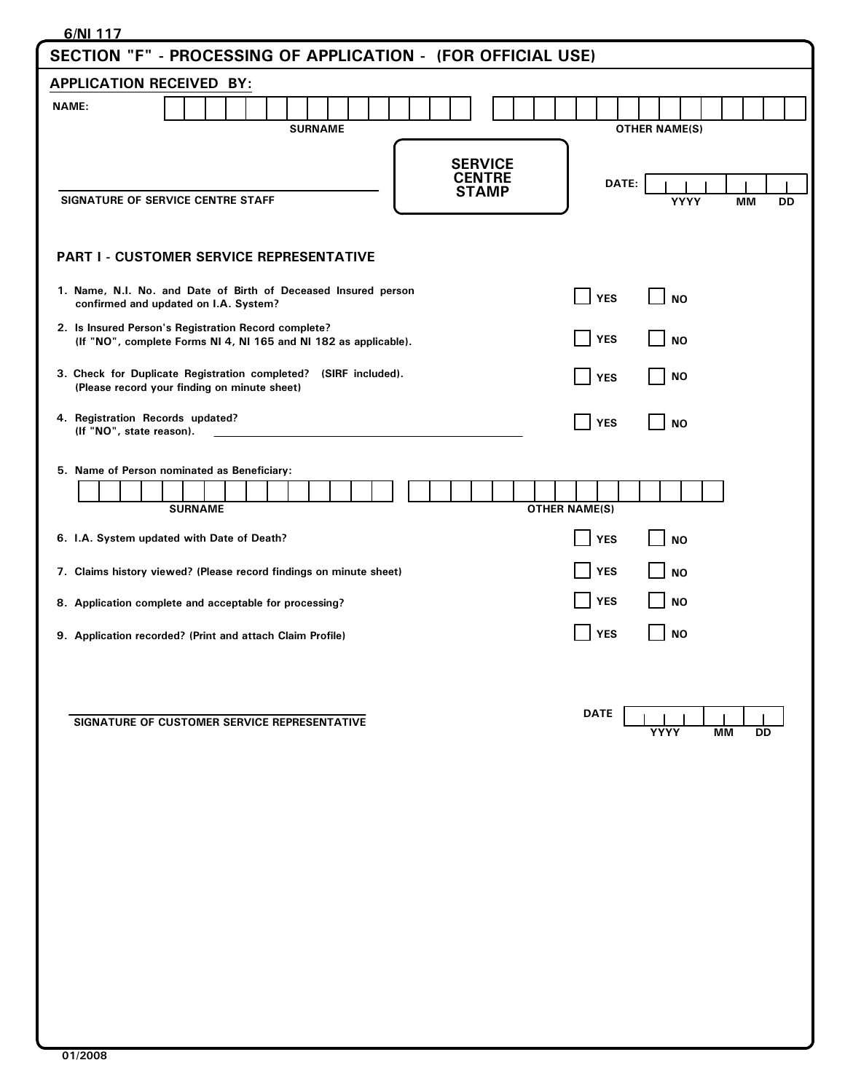| 6/NI 117                                                                                                                     |                                               |  |  |  |  |
|------------------------------------------------------------------------------------------------------------------------------|-----------------------------------------------|--|--|--|--|
| SECTION "F" - PROCESSING OF APPLICATION - (FOR OFFICIAL USE)                                                                 |                                               |  |  |  |  |
| <b>APPLICATION RECEIVED BY:</b>                                                                                              |                                               |  |  |  |  |
| <b>NAME:</b><br><b>SURNAME</b>                                                                                               | <b>OTHER NAME(S)</b>                          |  |  |  |  |
| <b>SERVICE</b><br><b>CENTRE</b><br><b>STAMP</b><br>SIGNATURE OF SERVICE CENTRE STAFF                                         | DATE:<br>YYYY<br>МM<br>DD                     |  |  |  |  |
| <b>PART I - CUSTOMER SERVICE REPRESENTATIVE</b>                                                                              |                                               |  |  |  |  |
| 1. Name, N.I. No. and Date of Birth of Deceased Insured person<br>confirmed and updated on I.A. System?                      | $\blacksquare$ YES<br><b>NO</b>               |  |  |  |  |
| 2. Is Insured Person's Registration Record complete?<br>(If "NO", complete Forms NI 4, NI 165 and NI 182 as applicable).     | YES<br><b>NO</b>                              |  |  |  |  |
| 3. Check for Duplicate Registration completed? (SIRF included).<br>(Please record your finding on minute sheet)              | <b>NO</b><br><b>YES</b>                       |  |  |  |  |
| 4. Registration Records updated?<br>(If "NO", state reason).                                                                 | $\blacksquare$ YES<br><b>NO</b>               |  |  |  |  |
| 5. Name of Person nominated as Beneficiary:<br><b>SURNAME</b>                                                                | <b>OTHER NAME(S)</b>                          |  |  |  |  |
| 6. I.A. System updated with Date of Death?                                                                                   | <b>YES</b><br><b>NO</b><br> YES<br><b>NO</b>  |  |  |  |  |
| 7. Claims history viewed? (Please record findings on minute sheet)<br>8. Application complete and acceptable for processing? | <b>YES</b><br><b>NO</b>                       |  |  |  |  |
| 9. Application recorded? (Print and attach Claim Profile)                                                                    | <b>YES</b><br><b>NO</b>                       |  |  |  |  |
| SIGNATURE OF CUSTOMER SERVICE REPRESENTATIVE                                                                                 | <b>DATE</b><br><b>YYYY</b><br><b>MM</b><br>DD |  |  |  |  |
|                                                                                                                              |                                               |  |  |  |  |
|                                                                                                                              |                                               |  |  |  |  |
|                                                                                                                              |                                               |  |  |  |  |
|                                                                                                                              |                                               |  |  |  |  |